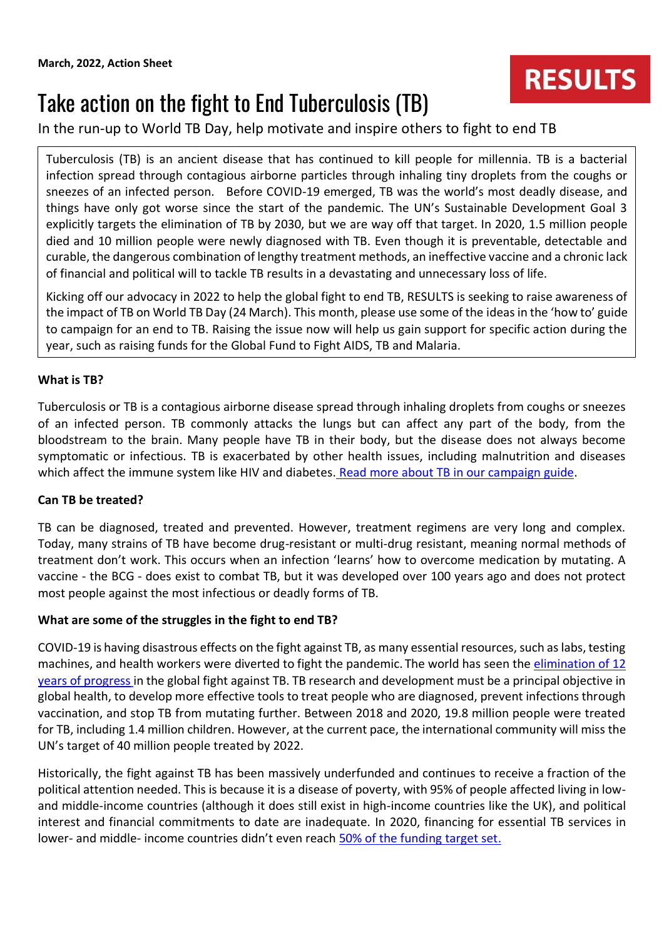# **RESULTS**

# Take action on the fight to End Tuberculosis (TB)

In the run-up to World TB Day, help motivate and inspire others to fight to end TB

Tuberculosis (TB) is an ancient disease that has continued to kill people for millennia. TB is a bacterial infection spread through contagious airborne particles through inhaling tiny droplets from the coughs or sneezes of an infected person. Before COVID-19 emerged, TB was the world's most deadly disease, and things have only got worse since the start of the pandemic. The UN's Sustainable Development Goal 3 explicitly targets the elimination of TB by 2030, but we are way off that target. In 2020, 1.5 million people died and 10 million people were newly diagnosed with TB. Even though it is preventable, detectable and curable, the dangerous combination of lengthy treatment methods, an ineffective vaccine and a chronic lack of financial and political will to tackle TB results in a devastating and unnecessary loss of life.

Kicking off our advocacy in 2022 to help the global fight to end TB, RESULTS is seeking to raise awareness of the impact of TB on World TB Day (24 March). This month, please use some of the ideas in the 'how to' guide to campaign for an end to TB. Raising the issue now will help us gain support for specific action during the year, such as raising funds for the Global Fund to Fight AIDS, TB and Malaria.

#### **What is TB?**

Tuberculosis or TB is a contagious airborne disease spread through inhaling droplets from coughs or sneezes of an infected person. TB commonly attacks the lungs but can affect any part of the body, from the bloodstream to the brain. Many people have TB in their body, but the disease does not always become symptomatic or infectious. TB is exacerbated by other health issues, including malnutrition and diseases which affect the immune system like HIV and diabetes. [Read more about TB in our campaign guide.](https://www.results.org.uk/guides/introduction-tuberculosis)

#### **Can TB be treated?**

TB can be diagnosed, treated and prevented. However, treatment regimens are very long and complex. Today, many strains of TB have become drug-resistant or multi-drug resistant, meaning normal methods of treatment don't work. This occurs when an infection 'learns' how to overcome medication by mutating. A vaccine - the BCG - does exist to combat TB, but it was developed over 100 years ago and does not protect most people against the most infectious or deadly forms of TB.

#### **What are some of the struggles in the fight to end TB?**

COVID-19 is having disastrous effects on the fight against TB, as many essential resources, such as labs, testing machines, and health workers were diverted to fight the pandemic. The world has seen the elimination of 12 [years of progress](https://stoptb.org/webadmin/cms/docs/Release%20for%20COVID%20and%20TB%202021%20report%20draft_16%20March_FINAL.pdf) in the global fight against TB. TB research and development must be a principal objective in global health, to develop more effective tools to treat people who are diagnosed, prevent infections through vaccination, and stop TB from mutating further. Between 2018 and 2020, 19.8 million people were treated for TB, including 1.4 million children. However, at the current pace, the international community will miss the UN's target of 40 million people treated by 2022.

Historically, the fight against TB has been massively underfunded and continues to receive a fraction of the political attention needed. This is because it is a disease of poverty, with 95% of people affected living in lowand middle-income countries (although it does still exist in high-income countries like the UK), and political interest and financial commitments to date are inadequate. In 2020, financing for essential TB services in lower- and middle- income countries didn't even reac[h](https://www.who.int/publications/i/item/9789240037021) [50% of the funding target set.](https://www.who.int/publications/i/item/9789240037021)